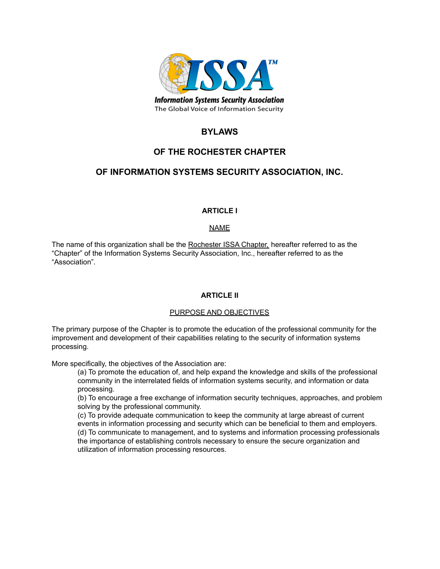

# **BYLAWS**

# **OF THE ROCHESTER CHAPTER**

# **OF INFORMATION SYSTEMS SECURITY ASSOCIATION, INC.**

# **ARTICLE I**

## NAME

The name of this organization shall be the Rochester ISSA Chapter, hereafter referred to as the "Chapter" of the Information Systems Security Association, Inc., hereafter referred to as the "Association".

## **ARTICLE II**

## PURPOSE AND OBJECTIVES

The primary purpose of the Chapter is to promote the education of the professional community for the improvement and development of their capabilities relating to the security of information systems processing.

More specifically, the objectives of the Association are:

(a) To promote the education of, and help expand the knowledge and skills of the professional community in the interrelated fields of information systems security, and information or data processing.

(b) To encourage a free exchange of information security techniques, approaches, and problem solving by the professional community.

(c) To provide adequate communication to keep the community at large abreast of current events in information processing and security which can be beneficial to them and employers. (d) To communicate to management, and to systems and information processing professionals the importance of establishing controls necessary to ensure the secure organization and utilization of information processing resources.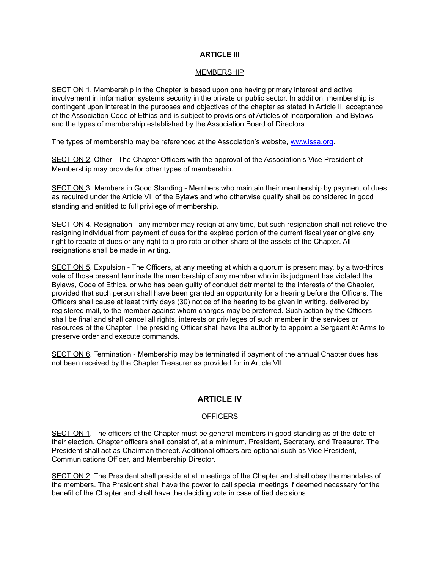### **ARTICLE III**

#### **MEMBERSHIP**

SECTION 1. Membership in the Chapter is based upon one having primary interest and active involvement in information systems security in the private or public sector. In addition, membership is contingent upon interest in the purposes and objectives of the chapter as stated in Article II, acceptance of the Association Code of Ethics and is subject to provisions of Articles of Incorporation and Bylaws and the types of membership established by the Association Board of Directors.

The types of membership may be referenced at the Association's website, www.issa.org.

SECTION 2. Other - The Chapter Officers with the approval of the Association's Vice President of Membership may provide for other types of membership.

SECTION 3. Members in Good Standing - Members who maintain their membership by payment of dues as required under the Article VII of the Bylaws and who otherwise qualify shall be considered in good standing and entitled to full privilege of membership.

SECTION 4. Resignation - any member may resign at any time, but such resignation shall not relieve the resigning individual from payment of dues for the expired portion of the current fiscal year or give any right to rebate of dues or any right to a pro rata or other share of the assets of the Chapter. All resignations shall be made in writing.

SECTION 5. Expulsion - The Officers, at any meeting at which a quorum is present may, by a two-thirds vote of those present terminate the membership of any member who in its judgment has violated the Bylaws, Code of Ethics, or who has been guilty of conduct detrimental to the interests of the Chapter, provided that such person shall have been granted an opportunity for a hearing before the Officers. The Officers shall cause at least thirty days (30) notice of the hearing to be given in writing, delivered by registered mail, to the member against whom charges may be preferred. Such action by the Officers shall be final and shall cancel all rights, interests or privileges of such member in the services or resources of the Chapter. The presiding Officer shall have the authority to appoint a Sergeant At Arms to preserve order and execute commands.

SECTION 6. Termination - Membership may be terminated if payment of the annual Chapter dues has not been received by the Chapter Treasurer as provided for in Article VII.

## **ARTICLE IV**

#### **OFFICERS**

SECTION 1. The officers of the Chapter must be general members in good standing as of the date of their election. Chapter officers shall consist of, at a minimum, President, Secretary, and Treasurer. The President shall act as Chairman thereof. Additional officers are optional such as Vice President, Communications Officer, and Membership Director.

SECTION 2. The President shall preside at all meetings of the Chapter and shall obey the mandates of the members. The President shall have the power to call special meetings if deemed necessary for the benefit of the Chapter and shall have the deciding vote in case of tied decisions.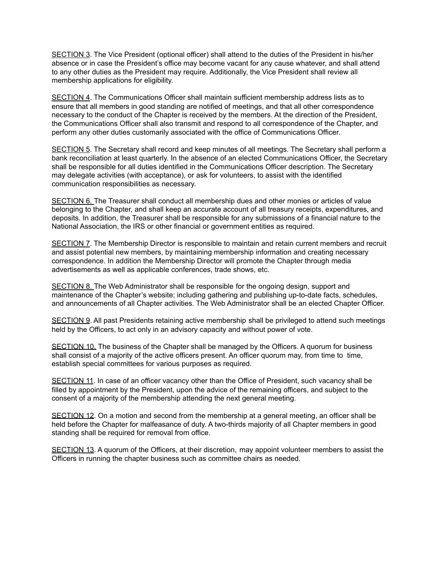SECTION 3. The Vice President (optional officer) shall attend to the duties of the President in his/her absence or in case the President's office may become vacant for any cause whatever, and shall attend to any other duties as the President may require. Additionally, the Vice President shall review all membership applications for eligibility.

SECTION 4. The Communications Officer shall maintain sufficient membership address lists as to ensure that all members in good standing are notified of meetings, and that all other correspondence necessary to the conduct of the Chapter is received by the members. At the direction of the President, the Communications Officer shall also transmit and respond to all correspondence of the Chapter, and perform any other duties customarily associated with the office of Communications Officer.

SECTION 5. The Secretary shall record and keep minutes of all meetings. The Secretary shall perform a bank reconciliation at least quarterly. In the absence of an elected Communications Officer, the Secretary shall be responsible for all duties identified in the Communications Officer description. The Secretary may delegate activities (with acceptance), or ask for volunteers, to assist with the identified communication responsibilities as necessary.

SECTION 6. The Treasurer shall conduct all membership dues and other monies or articles of value belonging to the Chapter, and shall keep an accurate account of all treasury receipts, expenditures, and deposits. In addition, the Treasurer shall be responsible for any submissions of a financial nature to the National Association, the IRS or other financial or government entities as required.

SECTION 7. The Membership Director is responsible to maintain and retain current members and recruit and assist potential new members, by maintaining membership information and creating necessary correspondence. In addition the Membership Director will promote the Chapter through media advertisements as well as applicable conferences, trade shows, etc.

SECTION 8. The Web Administrator shall be responsible for the ongoing design, support and maintenance of the Chapter's website; including gathering and publishing up-to-date facts, schedules, and announcements of all Chapter activities. The Web Administrator shall be an elected Chapter Officer.

SECTION 9. All past Presidents retaining active membership shall be privileged to attend such meetings held by the Officers, to act only in an advisory capacity and without power of vote.

SECTION 10. The business of the Chapter shall be managed by the Officers. A quorum for business shall consist of a majority of the active officers present. An officer quorum may, from time to time, establish special committees for various purposes as required.

SECTION 11. In case of an officer vacancy other than the Office of President, such vacancy shall be filled by appointment by the President, upon the advice of the remaining officers, and subject to the consent of a majority of the membership attending the next general meeting.

SECTION 12. On a motion and second from the membership at a general meeting, an officer shall be held before the Chapter for malfeasance of duty. A two-thirds majority of all Chapter members in good standing shall be required for removal from office.

SECTION 13. A quorum of the Officers, at their discretion, may appoint volunteer members to assist the Officers in running the chapter business such as committee chairs as needed.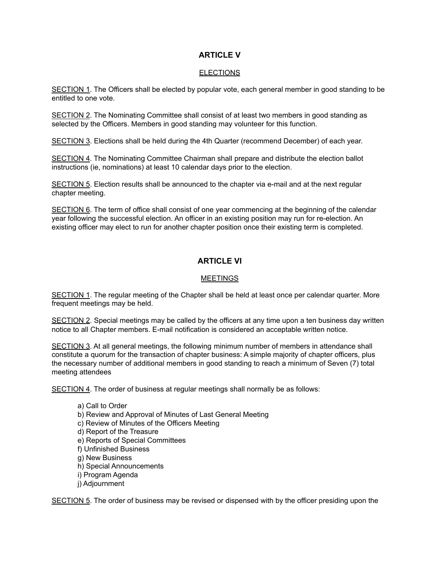# **ARTICLE V**

### ELECTIONS

SECTION 1. The Officers shall be elected by popular vote, each general member in good standing to be entitled to one vote.

SECTION 2. The Nominating Committee shall consist of at least two members in good standing as selected by the Officers. Members in good standing may volunteer for this function.

SECTION 3. Elections shall be held during the 4th Quarter (recommend December) of each year.

SECTION 4. The Nominating Committee Chairman shall prepare and distribute the election ballot instructions (ie, nominations) at least 10 calendar days prior to the election.

SECTION 5. Election results shall be announced to the chapter via e-mail and at the next regular chapter meeting.

SECTION 6. The term of office shall consist of one year commencing at the beginning of the calendar year following the successful election. An officer in an existing position may run for re-election. An existing officer may elect to run for another chapter position once their existing term is completed.

# **ARTICLE VI**

## **MEETINGS**

SECTION 1. The regular meeting of the Chapter shall be held at least once per calendar quarter. More frequent meetings may be held.

SECTION 2. Special meetings may be called by the officers at any time upon a ten business day written notice to all Chapter members. E-mail notification is considered an acceptable written notice.

SECTION 3. At all general meetings, the following minimum number of members in attendance shall constitute a quorum for the transaction of chapter business: A simple majority of chapter officers, plus the necessary number of additional members in good standing to reach a minimum of Seven (7) total meeting attendees

SECTION 4. The order of business at regular meetings shall normally be as follows:

a) Call to Order b) Review and Approval of Minutes of Last General Meeting c) Review of Minutes of the Officers Meeting d) Report of the Treasure e) Reports of Special Committees f) Unfinished Business g) New Business h) Special Announcements i) Program Agenda j) Adjournment

SECTION 5. The order of business may be revised or dispensed with by the officer presiding upon the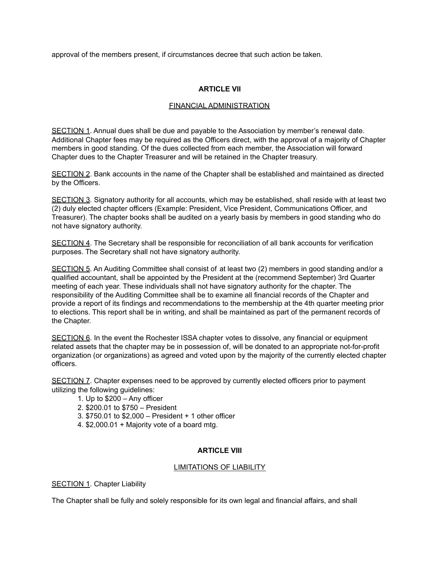approval of the members present, if circumstances decree that such action be taken.

## **ARTICLE VII**

## FINANCIAL ADMINISTRATION

SECTION 1. Annual dues shall be due and payable to the Association by member's renewal date. Additional Chapter fees may be required as the Officers direct, with the approval of a majority of Chapter members in good standing. Of the dues collected from each member, the Association will forward Chapter dues to the Chapter Treasurer and will be retained in the Chapter treasury.

SECTION 2. Bank accounts in the name of the Chapter shall be established and maintained as directed by the Officers.

SECTION 3. Signatory authority for all accounts, which may be established, shall reside with at least two (2) duly elected chapter officers (Example: President, Vice President, Communications Officer, and Treasurer). The chapter books shall be audited on a yearly basis by members in good standing who do not have signatory authority.

SECTION 4. The Secretary shall be responsible for reconciliation of all bank accounts for verification purposes. The Secretary shall not have signatory authority.

SECTION 5. An Auditing Committee shall consist of at least two (2) members in good standing and/or a qualified accountant, shall be appointed by the President at the (recommend September) 3rd Quarter meeting of each year. These individuals shall not have signatory authority for the chapter. The responsibility of the Auditing Committee shall be to examine all financial records of the Chapter and provide a report of its findings and recommendations to the membership at the 4th quarter meeting prior to elections. This report shall be in writing, and shall be maintained as part of the permanent records of the Chapter.

SECTION 6. In the event the Rochester ISSA chapter votes to dissolve, any financial or equipment related assets that the chapter may be in possession of, will be donated to an appropriate not-for-profit organization (or organizations) as agreed and voted upon by the majority of the currently elected chapter officers.

SECTION 7. Chapter expenses need to be approved by currently elected officers prior to payment utilizing the following guidelines:

- 1. Up to \$200 Any officer
- 2. \$200.01 to \$750 President
- 3. \$750.01 to \$2,000 President + 1 other officer
- 4. \$2,000.01 + Majority vote of a board mtg.

## **ARTICLE VIII**

#### LIMITATIONS OF LIABILITY

SECTION 1. Chapter Liability

The Chapter shall be fully and solely responsible for its own legal and financial affairs, and shall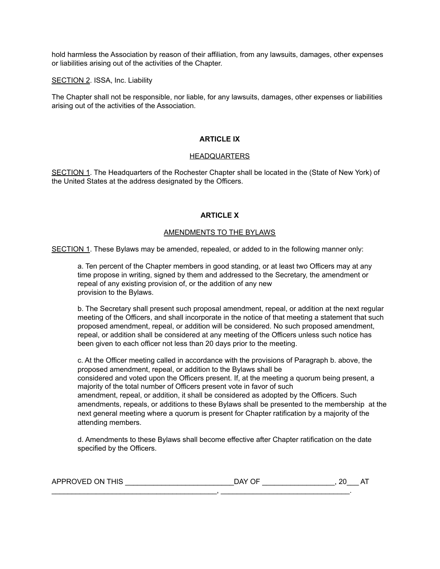hold harmless the Association by reason of their affiliation, from any lawsuits, damages, other expenses or liabilities arising out of the activities of the Chapter.

SECTION 2. ISSA, Inc. Liability

The Chapter shall not be responsible, nor liable, for any lawsuits, damages, other expenses or liabilities arising out of the activities of the Association.

#### **ARTICLE IX**

#### HEADQUARTERS

SECTION 1. The Headquarters of the Rochester Chapter shall be located in the (State of New York) of the United States at the address designated by the Officers.

#### **ARTICLE X**

#### AMENDMENTS TO THE BYLAWS

SECTION 1. These Bylaws may be amended, repealed, or added to in the following manner only:

a. Ten percent of the Chapter members in good standing, or at least two Officers may at any time propose in writing, signed by them and addressed to the Secretary, the amendment or repeal of any existing provision of, or the addition of any new provision to the Bylaws.

b. The Secretary shall present such proposal amendment, repeal, or addition at the next regular meeting of the Officers, and shall incorporate in the notice of that meeting a statement that such proposed amendment, repeal, or addition will be considered. No such proposed amendment, repeal, or addition shall be considered at any meeting of the Officers unless such notice has been given to each officer not less than 20 days prior to the meeting.

c. At the Officer meeting called in accordance with the provisions of Paragraph b. above, the proposed amendment, repeal, or addition to the Bylaws shall be considered and voted upon the Officers present. If, at the meeting a quorum being present, a majority of the total number of Officers present vote in favor of such amendment, repeal, or addition, it shall be considered as adopted by the Officers. Such amendments, repeals, or additions to these Bylaws shall be presented to the membership at the next general meeting where a quorum is present for Chapter ratification by a majority of the attending members.

d. Amendments to these Bylaws shall become effective after Chapter ratification on the date specified by the Officers.

| THIS<br>APPROVED<br>7N. | $\sim$ $\sim$ $\sim$ $\sim$<br>` יוכ | . - |
|-------------------------|--------------------------------------|-----|
|                         |                                      |     |